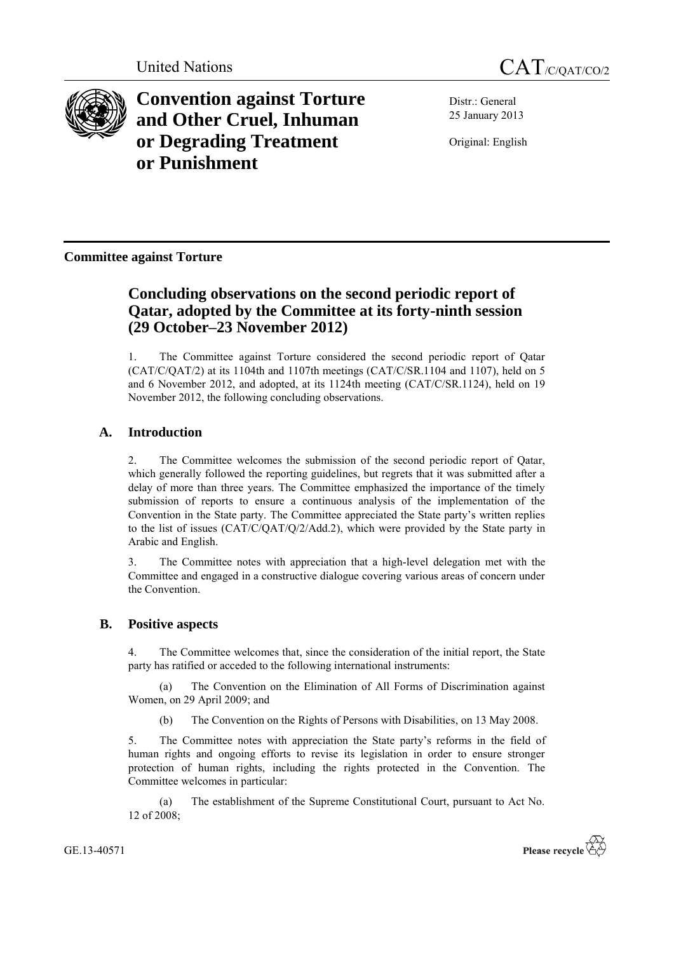



**Convention against Torture and Other Cruel, Inhuman or Degrading Treatment or Punishment**

Distr.: General 25 January 2013

Original: English

**Committee against Torture**

# **Concluding observations on the second periodic report of Qatar, adopted by the Committee at its forty-ninth session (29 October–23 November 2012)**

1. The Committee against Torture considered the second periodic report of Qatar (CAT/C/QAT/2) at its 1104th and 1107th meetings (CAT/C/SR.1104 and 1107), held on 5 and 6 November 2012, and adopted, at its 1124th meeting (CAT/C/SR.1124), held on 19 November 2012, the following concluding observations.

# **A. Introduction**

2. The Committee welcomes the submission of the second periodic report of Qatar, which generally followed the reporting guidelines, but regrets that it was submitted after a delay of more than three years. The Committee emphasized the importance of the timely submission of reports to ensure a continuous analysis of the implementation of the Convention in the State party. The Committee appreciated the State party's written replies to the list of issues (CAT/C/QAT/Q/2/Add.2), which were provided by the State party in Arabic and English.

3. The Committee notes with appreciation that a high-level delegation met with the Committee and engaged in a constructive dialogue covering various areas of concern under the Convention.

# **B. Positive aspects**

4. The Committee welcomes that, since the consideration of the initial report, the State party has ratified or acceded to the following international instruments:

(a) The Convention on the Elimination of All Forms of Discrimination against Women, on 29 April 2009; and

(b) The Convention on the Rights of Persons with Disabilities, on 13 May 2008.

5. The Committee notes with appreciation the State party's reforms in the field of human rights and ongoing efforts to revise its legislation in order to ensure stronger protection of human rights, including the rights protected in the Convention. The Committee welcomes in particular:

(a) The establishment of the Supreme Constitutional Court, pursuant to Act No. 12 of 2008;

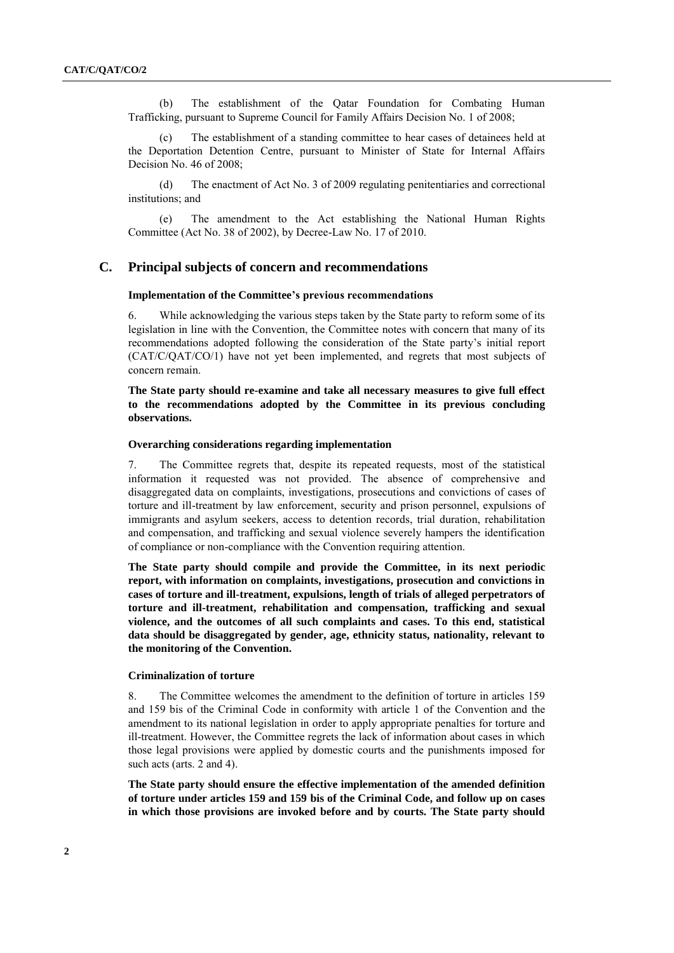(b) The establishment of the Qatar Foundation for Combating Human Trafficking, pursuant to Supreme Council for Family Affairs Decision No. 1 of 2008;

(c) The establishment of a standing committee to hear cases of detainees held at the Deportation Detention Centre, pursuant to Minister of State for Internal Affairs Decision No. 46 of 2008;

(d) The enactment of Act No. 3 of 2009 regulating penitentiaries and correctional institutions; and

(e) The amendment to the Act establishing the National Human Rights Committee (Act No. 38 of 2002), by Decree-Law No. 17 of 2010.

# **C. Principal subjects of concern and recommendations**

#### **Implementation of the Committee's previous recommendations**

6. While acknowledging the various steps taken by the State party to reform some of its legislation in line with the Convention, the Committee notes with concern that many of its recommendations adopted following the consideration of the State party's initial report (CAT/C/QAT/CO/1) have not yet been implemented, and regrets that most subjects of concern remain.

# **The State party should re-examine and take all necessary measures to give full effect to the recommendations adopted by the Committee in its previous concluding observations.**

#### **Overarching considerations regarding implementation**

7. The Committee regrets that, despite its repeated requests, most of the statistical information it requested was not provided. The absence of comprehensive and disaggregated data on complaints, investigations, prosecutions and convictions of cases of torture and ill-treatment by law enforcement, security and prison personnel, expulsions of immigrants and asylum seekers, access to detention records, trial duration, rehabilitation and compensation, and trafficking and sexual violence severely hampers the identification of compliance or non-compliance with the Convention requiring attention.

**The State party should compile and provide the Committee, in its next periodic report, with information on complaints, investigations, prosecution and convictions in cases of torture and ill-treatment, expulsions, length of trials of alleged perpetrators of torture and ill-treatment, rehabilitation and compensation, trafficking and sexual violence, and the outcomes of all such complaints and cases. To this end, statistical data should be disaggregated by gender, age, ethnicity status, nationality, relevant to the monitoring of the Convention.**

#### **Criminalization of torture**

8. The Committee welcomes the amendment to the definition of torture in articles 159 and 159 bis of the Criminal Code in conformity with article 1 of the Convention and the amendment to its national legislation in order to apply appropriate penalties for torture and ill-treatment. However, the Committee regrets the lack of information about cases in which those legal provisions were applied by domestic courts and the punishments imposed for such acts (arts. 2 and 4).

**The State party should ensure the effective implementation of the amended definition of torture under articles 159 and 159 bis of the Criminal Code, and follow up on cases in which those provisions are invoked before and by courts. The State party should**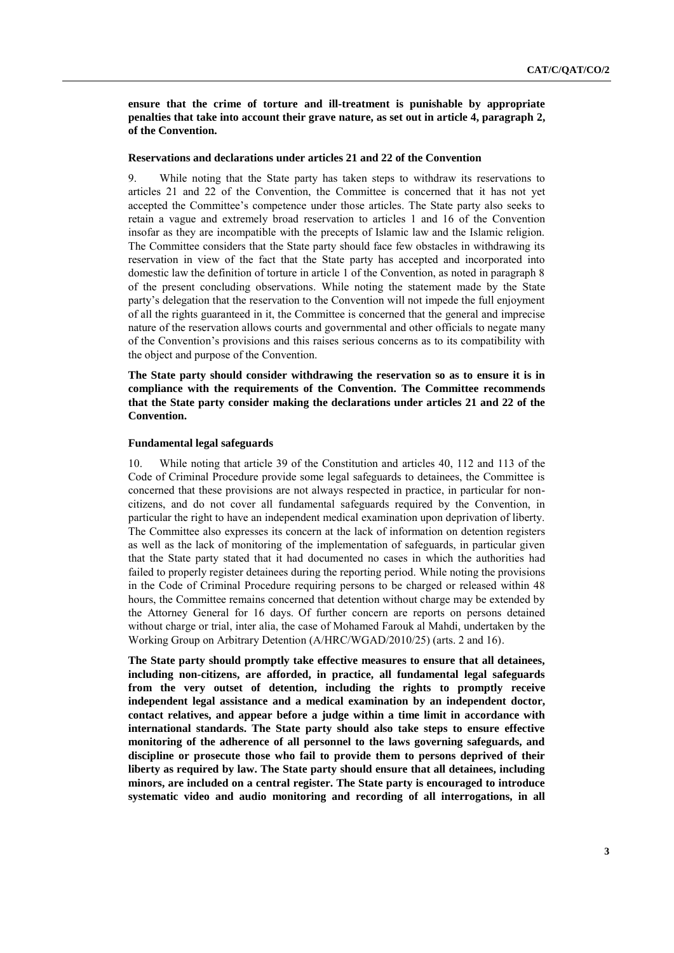**ensure that the crime of torture and ill-treatment is punishable by appropriate penalties that take into account their grave nature, as set out in article 4, paragraph 2, of the Convention.**

#### **Reservations and declarations under articles 21 and 22 of the Convention**

9. While noting that the State party has taken steps to withdraw its reservations to articles 21 and 22 of the Convention, the Committee is concerned that it has not yet accepted the Committee's competence under those articles. The State party also seeks to retain a vague and extremely broad reservation to articles 1 and 16 of the Convention insofar as they are incompatible with the precepts of Islamic law and the Islamic religion. The Committee considers that the State party should face few obstacles in withdrawing its reservation in view of the fact that the State party has accepted and incorporated into domestic law the definition of torture in article 1 of the Convention, as noted in paragraph 8 of the present concluding observations. While noting the statement made by the State party's delegation that the reservation to the Convention will not impede the full enjoyment of all the rights guaranteed in it, the Committee is concerned that the general and imprecise nature of the reservation allows courts and governmental and other officials to negate many of the Convention's provisions and this raises serious concerns as to its compatibility with the object and purpose of the Convention.

**The State party should consider withdrawing the reservation so as to ensure it is in compliance with the requirements of the Convention. The Committee recommends that the State party consider making the declarations under articles 21 and 22 of the Convention.**

#### **Fundamental legal safeguards**

10. While noting that article 39 of the Constitution and articles 40, 112 and 113 of the Code of Criminal Procedure provide some legal safeguards to detainees, the Committee is concerned that these provisions are not always respected in practice, in particular for noncitizens, and do not cover all fundamental safeguards required by the Convention, in particular the right to have an independent medical examination upon deprivation of liberty. The Committee also expresses its concern at the lack of information on detention registers as well as the lack of monitoring of the implementation of safeguards, in particular given that the State party stated that it had documented no cases in which the authorities had failed to properly register detainees during the reporting period. While noting the provisions in the Code of Criminal Procedure requiring persons to be charged or released within 48 hours, the Committee remains concerned that detention without charge may be extended by the Attorney General for 16 days. Of further concern are reports on persons detained without charge or trial, inter alia, the case of Mohamed Farouk al Mahdi, undertaken by the Working Group on Arbitrary Detention (A/HRC/WGAD/2010/25) (arts. 2 and 16).

**The State party should promptly take effective measures to ensure that all detainees, including non-citizens, are afforded, in practice, all fundamental legal safeguards from the very outset of detention, including the rights to promptly receive independent legal assistance and a medical examination by an independent doctor, contact relatives, and appear before a judge within a time limit in accordance with international standards. The State party should also take steps to ensure effective monitoring of the adherence of all personnel to the laws governing safeguards, and discipline or prosecute those who fail to provide them to persons deprived of their liberty as required by law. The State party should ensure that all detainees, including minors, are included on a central register. The State party is encouraged to introduce systematic video and audio monitoring and recording of all interrogations, in all**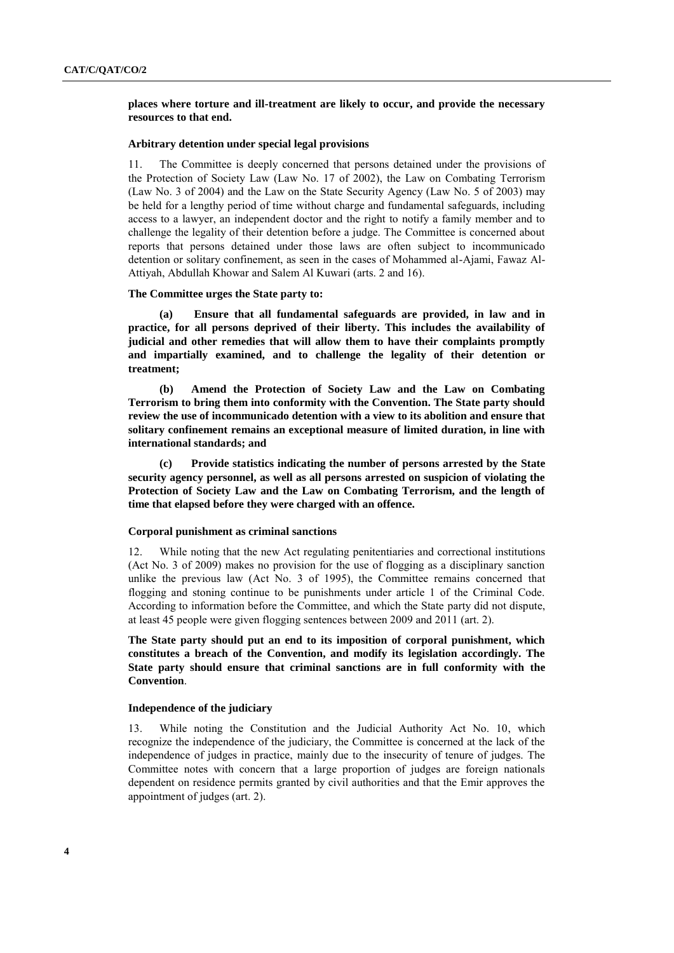# **places where torture and ill-treatment are likely to occur, and provide the necessary resources to that end.**

# **Arbitrary detention under special legal provisions**

11. The Committee is deeply concerned that persons detained under the provisions of the Protection of Society Law (Law No. 17 of 2002), the Law on Combating Terrorism (Law No. 3 of 2004) and the Law on the State Security Agency (Law No. 5 of 2003) may be held for a lengthy period of time without charge and fundamental safeguards, including access to a lawyer, an independent doctor and the right to notify a family member and to challenge the legality of their detention before a judge. The Committee is concerned about reports that persons detained under those laws are often subject to incommunicado detention or solitary confinement, as seen in the cases of Mohammed al-Ajami, Fawaz Al-Attiyah, Abdullah Khowar and Salem Al Kuwari (arts. 2 and 16).

#### **The Committee urges the State party to:**

**(a) Ensure that all fundamental safeguards are provided, in law and in practice, for all persons deprived of their liberty. This includes the availability of judicial and other remedies that will allow them to have their complaints promptly and impartially examined, and to challenge the legality of their detention or treatment;**

**(b) Amend the Protection of Society Law and the Law on Combating Terrorism to bring them into conformity with the Convention. The State party should review the use of incommunicado detention with a view to its abolition and ensure that solitary confinement remains an exceptional measure of limited duration, in line with international standards; and**

**(c) Provide statistics indicating the number of persons arrested by the State security agency personnel, as well as all persons arrested on suspicion of violating the Protection of Society Law and the Law on Combating Terrorism, and the length of time that elapsed before they were charged with an offence.** 

#### **Corporal punishment as criminal sanctions**

12. While noting that the new Act regulating penitentiaries and correctional institutions (Act No. 3 of 2009) makes no provision for the use of flogging as a disciplinary sanction unlike the previous law (Act No. 3 of 1995), the Committee remains concerned that flogging and stoning continue to be punishments under article 1 of the Criminal Code. According to information before the Committee, and which the State party did not dispute, at least 45 people were given flogging sentences between 2009 and 2011 (art. 2).

**The State party should put an end to its imposition of corporal punishment, which constitutes a breach of the Convention, and modify its legislation accordingly. The State party should ensure that criminal sanctions are in full conformity with the Convention**.

#### **Independence of the judiciary**

13. While noting the Constitution and the Judicial Authority Act No. 10, which recognize the independence of the judiciary, the Committee is concerned at the lack of the independence of judges in practice, mainly due to the insecurity of tenure of judges. The Committee notes with concern that a large proportion of judges are foreign nationals dependent on residence permits granted by civil authorities and that the Emir approves the appointment of judges (art. 2).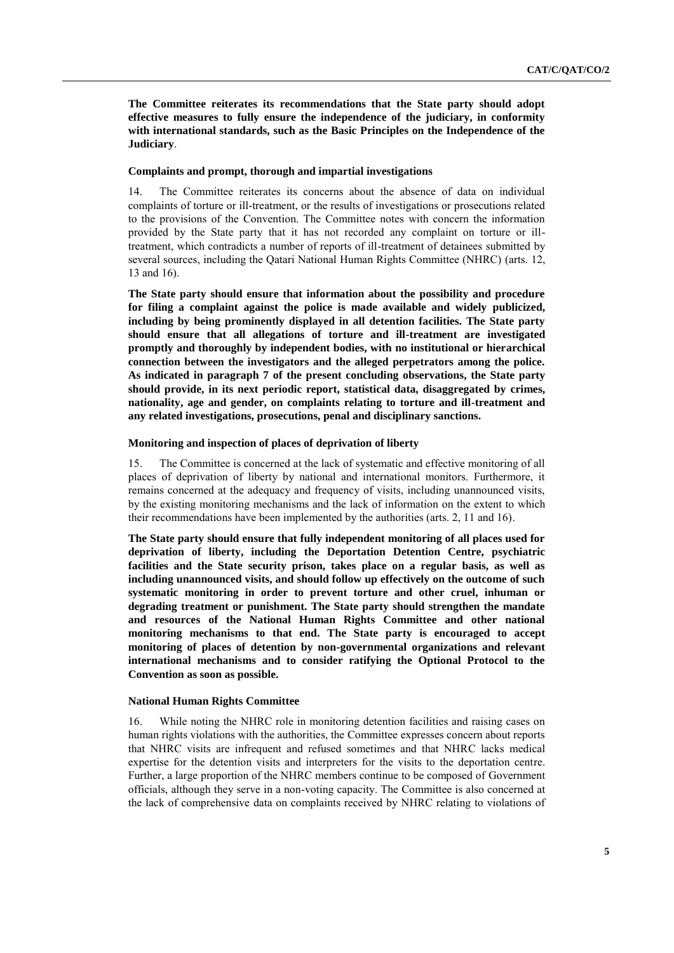**The Committee reiterates its recommendations that the State party should adopt effective measures to fully ensure the independence of the judiciary, in conformity with international standards, such as the Basic Principles on the Independence of the Judiciary**.

#### **Complaints and prompt, thorough and impartial investigations**

14. The Committee reiterates its concerns about the absence of data on individual complaints of torture or ill-treatment, or the results of investigations or prosecutions related to the provisions of the Convention. The Committee notes with concern the information provided by the State party that it has not recorded any complaint on torture or illtreatment, which contradicts a number of reports of ill-treatment of detainees submitted by several sources, including the Qatari National Human Rights Committee (NHRC) (arts. 12, 13 and 16).

**The State party should ensure that information about the possibility and procedure for filing a complaint against the police is made available and widely publicized, including by being prominently displayed in all detention facilities. The State party should ensure that all allegations of torture and ill-treatment are investigated promptly and thoroughly by independent bodies, with no institutional or hierarchical connection between the investigators and the alleged perpetrators among the police. As indicated in paragraph 7 of the present concluding observations, the State party should provide, in its next periodic report, statistical data, disaggregated by crimes, nationality, age and gender, on complaints relating to torture and ill-treatment and any related investigations, prosecutions, penal and disciplinary sanctions.**

# **Monitoring and inspection of places of deprivation of liberty**

15. The Committee is concerned at the lack of systematic and effective monitoring of all places of deprivation of liberty by national and international monitors. Furthermore, it remains concerned at the adequacy and frequency of visits, including unannounced visits, by the existing monitoring mechanisms and the lack of information on the extent to which their recommendations have been implemented by the authorities (arts. 2, 11 and 16).

**The State party should ensure that fully independent monitoring of all places used for deprivation of liberty, including the Deportation Detention Centre, psychiatric facilities and the State security prison, takes place on a regular basis, as well as including unannounced visits, and should follow up effectively on the outcome of such systematic monitoring in order to prevent torture and other cruel, inhuman or degrading treatment or punishment. The State party should strengthen the mandate and resources of the National Human Rights Committee and other national monitoring mechanisms to that end. The State party is encouraged to accept monitoring of places of detention by non-governmental organizations and relevant international mechanisms and to consider ratifying the Optional Protocol to the Convention as soon as possible.**

#### **National Human Rights Committee**

16. While noting the NHRC role in monitoring detention facilities and raising cases on human rights violations with the authorities, the Committee expresses concern about reports that NHRC visits are infrequent and refused sometimes and that NHRC lacks medical expertise for the detention visits and interpreters for the visits to the deportation centre. Further, a large proportion of the NHRC members continue to be composed of Government officials, although they serve in a non-voting capacity. The Committee is also concerned at the lack of comprehensive data on complaints received by NHRC relating to violations of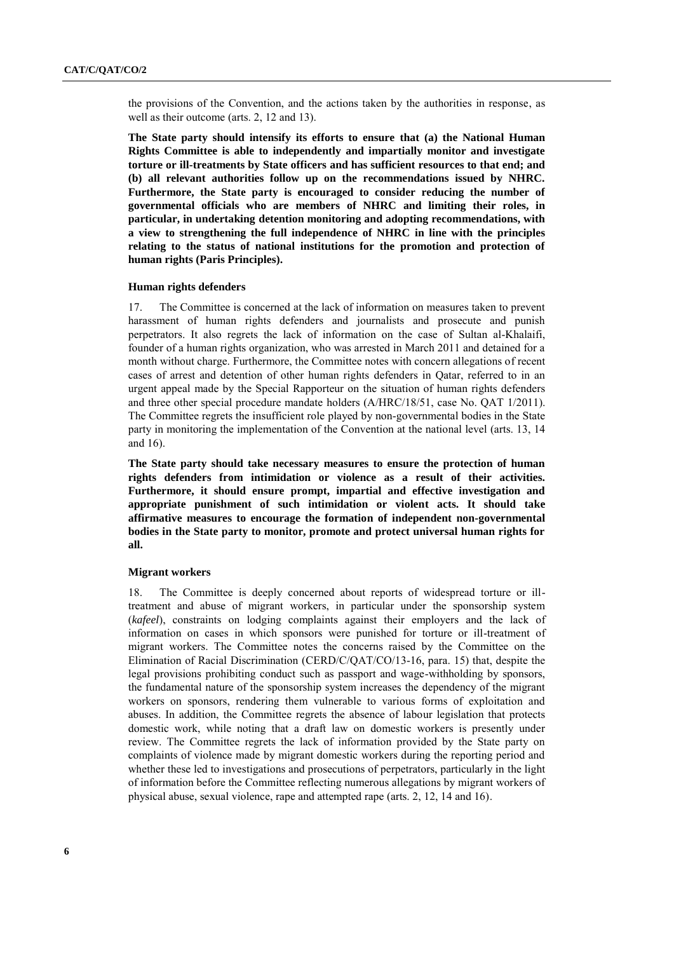the provisions of the Convention, and the actions taken by the authorities in response, as well as their outcome (arts. 2, 12 and 13).

**The State party should intensify its efforts to ensure that (a) the National Human Rights Committee is able to independently and impartially monitor and investigate torture or ill-treatments by State officers and has sufficient resources to that end; and (b) all relevant authorities follow up on the recommendations issued by NHRC. Furthermore, the State party is encouraged to consider reducing the number of governmental officials who are members of NHRC and limiting their roles, in particular, in undertaking detention monitoring and adopting recommendations, with a view to strengthening the full independence of NHRC in line with the principles relating to the status of national institutions for the promotion and protection of human rights (Paris Principles).** 

#### **Human rights defenders**

17. The Committee is concerned at the lack of information on measures taken to prevent harassment of human rights defenders and journalists and prosecute and punish perpetrators. It also regrets the lack of information on the case of Sultan al-Khalaifi, founder of a human rights organization, who was arrested in March 2011 and detained for a month without charge. Furthermore, the Committee notes with concern allegations of recent cases of arrest and detention of other human rights defenders in Qatar, referred to in an urgent appeal made by the Special Rapporteur on the situation of human rights defenders and three other special procedure mandate holders (A/HRC/18/51, case No. QAT 1/2011). The Committee regrets the insufficient role played by non-governmental bodies in the State party in monitoring the implementation of the Convention at the national level (arts. 13, 14 and 16).

**The State party should take necessary measures to ensure the protection of human rights defenders from intimidation or violence as a result of their activities. Furthermore, it should ensure prompt, impartial and effective investigation and appropriate punishment of such intimidation or violent acts. It should take affirmative measures to encourage the formation of independent non-governmental bodies in the State party to monitor, promote and protect universal human rights for all.** 

#### **Migrant workers**

18. The Committee is deeply concerned about reports of widespread torture or illtreatment and abuse of migrant workers, in particular under the sponsorship system (*kafeel*), constraints on lodging complaints against their employers and the lack of information on cases in which sponsors were punished for torture or ill-treatment of migrant workers. The Committee notes the concerns raised by the Committee on the Elimination of Racial Discrimination (CERD/C/QAT/CO/13-16, para. 15) that, despite the legal provisions prohibiting conduct such as passport and wage-withholding by sponsors, the fundamental nature of the sponsorship system increases the dependency of the migrant workers on sponsors, rendering them vulnerable to various forms of exploitation and abuses. In addition, the Committee regrets the absence of labour legislation that protects domestic work, while noting that a draft law on domestic workers is presently under review. The Committee regrets the lack of information provided by the State party on complaints of violence made by migrant domestic workers during the reporting period and whether these led to investigations and prosecutions of perpetrators, particularly in the light of information before the Committee reflecting numerous allegations by migrant workers of physical abuse, sexual violence, rape and attempted rape (arts. 2, 12, 14 and 16).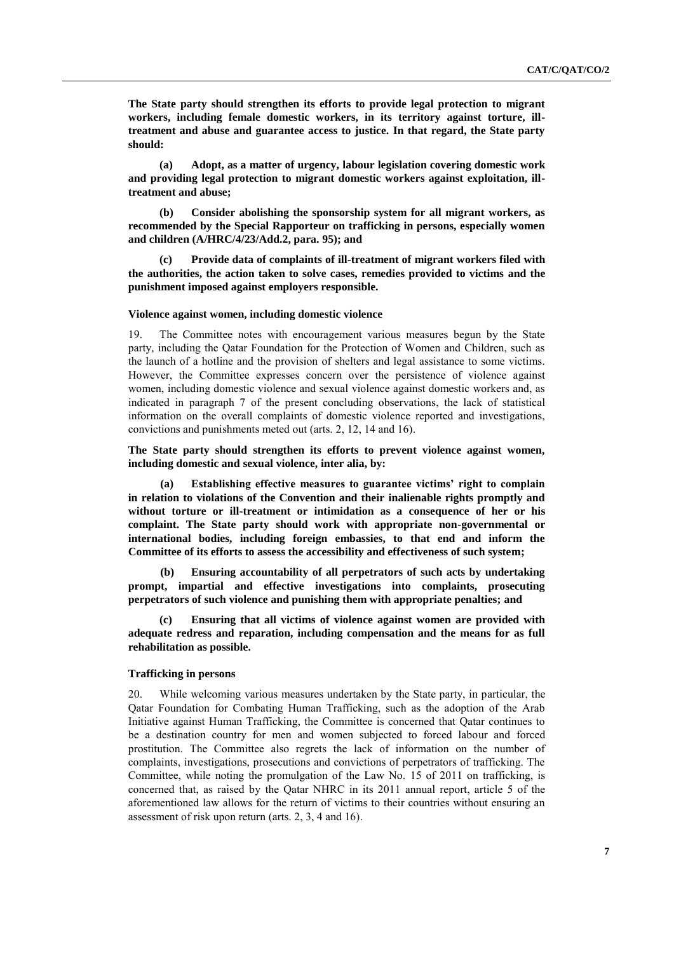**The State party should strengthen its efforts to provide legal protection to migrant workers, including female domestic workers, in its territory against torture, illtreatment and abuse and guarantee access to justice. In that regard, the State party should:**

**(a) Adopt, as a matter of urgency, labour legislation covering domestic work and providing legal protection to migrant domestic workers against exploitation, illtreatment and abuse;**

**(b) Consider abolishing the sponsorship system for all migrant workers, as recommended by [the Special Rapporteur on trafficking in persons, especially women](http://daccess-ods.un.org/access.nsf/Get?Open&DS=A/HRC/14/32/Add.2&Lang=E)  [and children \(A](http://daccess-ods.un.org/access.nsf/Get?Open&DS=A/HRC/14/32/Add.2&Lang=E)/HRC/4/23/Add.2, para. 95); and** 

**(c) Provide data of complaints of ill-treatment of migrant workers filed with the authorities, the action taken to solve cases, remedies provided to victims and the punishment imposed against employers responsible.** 

#### **Violence against women, including domestic violence**

19. The Committee notes with encouragement various measures begun by the State party, including the Qatar Foundation for the Protection of Women and Children, such as the launch of a hotline and the provision of shelters and legal assistance to some victims. However, the Committee expresses concern over the persistence of violence against women, including domestic violence and sexual violence against domestic workers and, as indicated in paragraph 7 of the present concluding observations, the lack of statistical information on the overall complaints of domestic violence reported and investigations, convictions and punishments meted out (arts. 2, 12, 14 and 16).

**The State party should strengthen its efforts to prevent violence against women, including domestic and sexual violence, inter alia, by:** 

**(a) Establishing effective measures to guarantee victims' right to complain in relation to violations of the Convention and their inalienable rights promptly and without torture or ill-treatment or intimidation as a consequence of her or his complaint. The State party should work with appropriate non-governmental or international bodies, including foreign embassies, to that end and inform the Committee of its efforts to assess the accessibility and effectiveness of such system;**

**(b) Ensuring accountability of all perpetrators of such acts by undertaking prompt, impartial and effective investigations into complaints, prosecuting perpetrators of such violence and punishing them with appropriate penalties; and**

**(c) Ensuring that all victims of violence against women are provided with adequate redress and reparation, including compensation and the means for as full rehabilitation as possible.**

# **Trafficking in persons**

20. While welcoming various measures undertaken by the State party, in particular, the Qatar Foundation for Combating Human Trafficking, such as the adoption of the Arab Initiative against Human Trafficking, the Committee is concerned that Qatar continues to be a destination country for men and women subjected to forced labour and forced prostitution. The Committee also regrets the lack of information on the number of complaints, investigations, prosecutions and convictions of perpetrators of trafficking. The Committee, while noting the promulgation of the Law No. 15 of 2011 on trafficking, is concerned that, as raised by the Qatar NHRC in its 2011 annual report, article 5 of the aforementioned law allows for the return of victims to their countries without ensuring an assessment of risk upon return (arts. 2, 3, 4 and 16).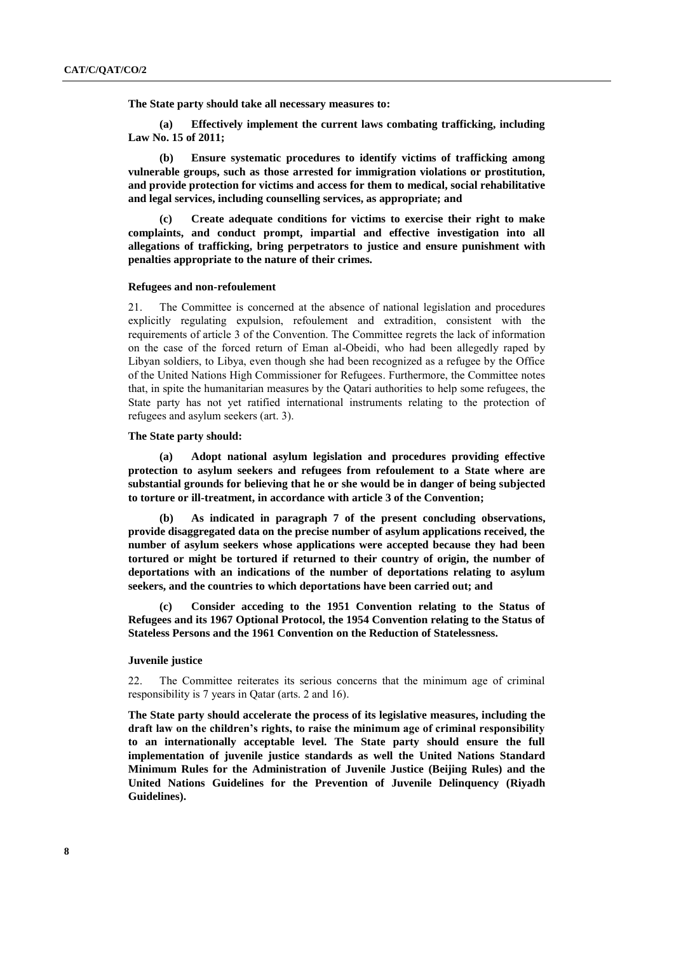**The State party should take all necessary measures to:**

**(a) Effectively implement the current laws combating trafficking, including Law No. 15 of 2011;**

**(b) Ensure systematic procedures to identify victims of trafficking among vulnerable groups, such as those arrested for immigration violations or prostitution, and provide protection for victims and access for them to medical, social rehabilitative and legal services, including counselling services, as appropriate; and**

**(c) Create adequate conditions for victims to exercise their right to make complaints, and conduct prompt, impartial and effective investigation into all allegations of trafficking, bring perpetrators to justice and ensure punishment with penalties appropriate to the nature of their crimes.** 

# **Refugees and non-refoulement**

21. The Committee is concerned at the absence of national legislation and procedures explicitly regulating expulsion, refoulement and extradition, consistent with the requirements of article 3 of the Convention. The Committee regrets the lack of information on the case of the forced return of Eman al-Obeidi, who had been allegedly raped by Libyan soldiers, to Libya, even though she had been recognized as a refugee by the Office of the United Nations High Commissioner for Refugees. Furthermore, the Committee notes that, in spite the humanitarian measures by the Qatari authorities to help some refugees, the State party has not yet ratified international instruments relating to the protection of refugees and asylum seekers (art. 3).

#### **The State party should:**

**(a) Adopt national asylum legislation and procedures providing effective protection to asylum seekers and refugees from refoulement to a State where are substantial grounds for believing that he or she would be in danger of being subjected to torture or ill-treatment, in accordance with article 3 of the Convention;**

**(b) As indicated in paragraph 7 of the present concluding observations, provide disaggregated data on the precise number of asylum applications received, the number of asylum seekers whose applications were accepted because they had been tortured or might be tortured if returned to their country of origin, the number of deportations with an indications of the number of deportations relating to asylum seekers, and the countries to which deportations have been carried out; and**

**(c) Consider acceding to the 1951 Convention relating to the Status of Refugees and its 1967 Optional Protocol, the 1954 Convention relating to the Status of Stateless Persons and the 1961 Convention on the Reduction of Statelessness.**

## **Juvenile justice**

22. The Committee reiterates its serious concerns that the minimum age of criminal responsibility is 7 years in Qatar (arts. 2 and 16).

**The State party should accelerate the process of its legislative measures, including the draft law on the children's rights, to raise the minimum age of criminal responsibility to an internationally acceptable level. The State party should ensure the full implementation of juvenile justice standards as well the United Nations Standard Minimum Rules for the Administration of Juvenile Justice (Beijing Rules) and the United Nations Guidelines for the Prevention of Juvenile Delinquency (Riyadh Guidelines).**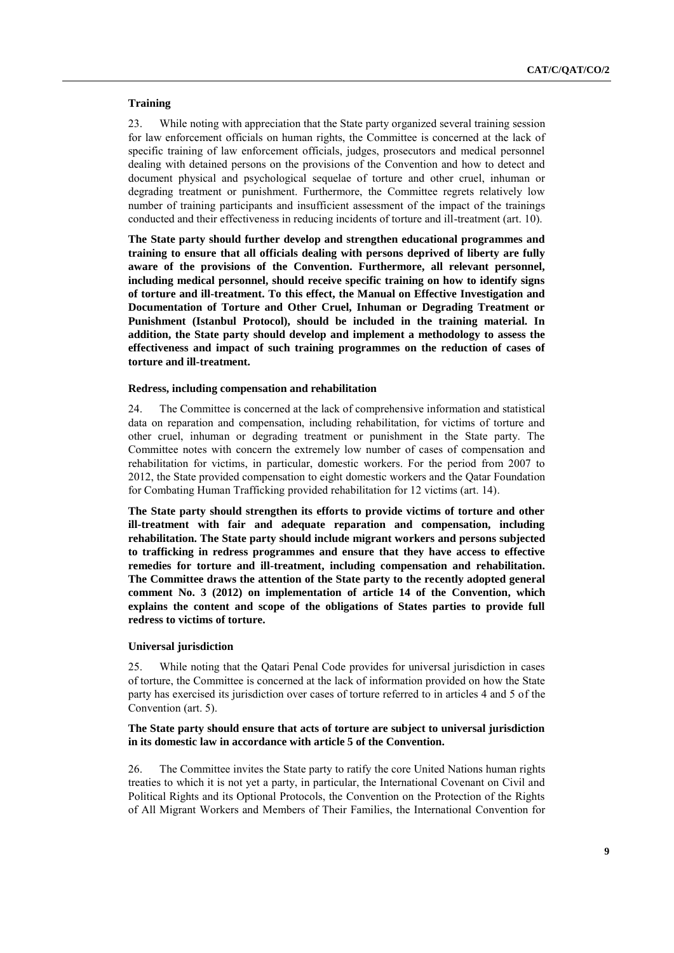# **Training**

23. While noting with appreciation that the State party organized several training session for law enforcement officials on human rights, the Committee is concerned at the lack of specific training of law enforcement officials, judges, prosecutors and medical personnel dealing with detained persons on the provisions of the Convention and how to detect and document physical and psychological sequelae of torture and other cruel, inhuman or degrading treatment or punishment. Furthermore, the Committee regrets relatively low number of training participants and insufficient assessment of the impact of the trainings conducted and their effectiveness in reducing incidents of torture and ill-treatment (art. 10).

**The State party should further develop and strengthen educational programmes and training to ensure that all officials dealing with persons deprived of liberty are fully aware of the provisions of the Convention. Furthermore, all relevant personnel, including medical personnel, should receive specific training on how to identify signs of torture and ill-treatment. To this effect, the Manual on Effective Investigation and Documentation of Torture and Other Cruel, Inhuman or Degrading Treatment or Punishment (Istanbul Protocol), should be included in the training material. In addition, the State party should develop and implement a methodology to assess the effectiveness and impact of such training programmes on the reduction of cases of torture and ill-treatment.**

## **Redress, including compensation and rehabilitation**

24. The Committee is concerned at the lack of comprehensive information and statistical data on reparation and compensation, including rehabilitation, for victims of torture and other cruel, inhuman or degrading treatment or punishment in the State party. The Committee notes with concern the extremely low number of cases of compensation and rehabilitation for victims, in particular, domestic workers. For the period from 2007 to 2012, the State provided compensation to eight domestic workers and the Qatar Foundation for Combating Human Trafficking provided rehabilitation for 12 victims (art. 14).

**The State party should strengthen its efforts to provide victims of torture and other ill-treatment with fair and adequate reparation and compensation, including rehabilitation. The State party should include migrant workers and persons subjected to trafficking in redress programmes and ensure that they have access to effective remedies for torture and ill-treatment, including compensation and rehabilitation. The Committee draws the attention of the State party to the recently adopted general comment No. 3 (2012) on implementation of article 14 of the Convention, which explains the content and scope of the obligations of States parties to provide full redress to victims of torture.**

## **Universal jurisdiction**

25. While noting that the Qatari Penal Code provides for universal jurisdiction in cases of torture, the Committee is concerned at the lack of information provided on how the State party has exercised its jurisdiction over cases of torture referred to in articles 4 and 5 of the Convention (art. 5).

# **The State party should ensure that acts of torture are subject to universal jurisdiction in its domestic law in accordance with article 5 of the Convention.**

26. The Committee invites the State party to ratify the core United Nations human rights treaties to which it is not yet a party, in particular, the International Covenant on Civil and Political Rights and its Optional Protocols, the Convention on the Protection of the Rights of All Migrant Workers and Members of Their Families, the International Convention for